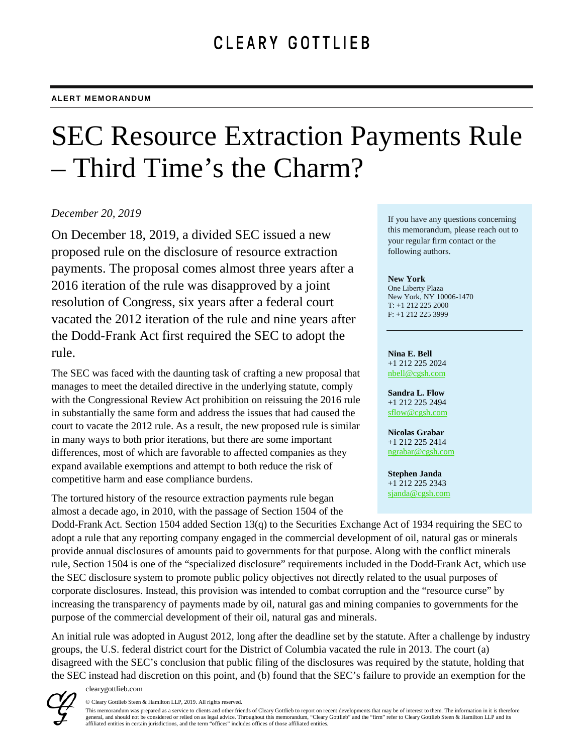# SEC Resource Extraction Payments Rule – Third Time's the Charm?

# *December 20, 2019*

On December 18, 2019, a divided SEC issued a new proposed rule on the disclosure of resource extraction payments. The proposal comes almost three years after a 2016 iteration of the rule was disapproved by a joint resolution of Congress, six years after a federal court vacated the 2012 iteration of the rule and nine years after the Dodd-Frank Act first required the SEC to adopt the rule.

The SEC was faced with the daunting task of crafting a new proposal that manages to meet the detailed directive in the underlying statute, comply with the Congressional Review Act prohibition on reissuing the 2016 rule in substantially the same form and address the issues that had caused the court to vacate the 2012 rule. As a result, the new proposed rule is similar in many ways to both prior iterations, but there are some important differences, most of which are favorable to affected companies as they expand available exemptions and attempt to both reduce the risk of competitive harm and ease compliance burdens.

The tortured history of the resource extraction payments rule began almost a decade ago, in 2010, with the passage of Section 1504 of the If you have any questions concerning this memorandum, please reach out to your regular firm contact or the following authors.

## **New York**

One Liberty Plaza New York, NY 10006-1470 T: +1 212 225 2000 F: +1 212 225 3999

### **Nina E. Bell**

+1 212 225 2024 [nbell@cgsh.com](mailto:nbell@cgsh.com)

**Sandra L. Flow** +1 212 225 2494 [sflow@cgsh.com](mailto:sflow@cgsh.com)

**Nicolas Grabar** +1 212 225 2414 [ngrabar@cgsh.com](mailto:ngrabar@cgsh.com)

**Stephen Janda** +1 212 225 2343 [sjanda@cgsh.com](mailto:sjanda@cgsh.com)

Dodd-Frank Act. Section 1504 added Section 13(q) to the Securities Exchange Act of 1934 requiring the SEC to adopt a rule that any reporting company engaged in the commercial development of oil, natural gas or minerals provide annual disclosures of amounts paid to governments for that purpose. Along with the conflict minerals rule, Section 1504 is one of the "specialized disclosure" requirements included in the Dodd-Frank Act, which use the SEC disclosure system to promote public policy objectives not directly related to the usual purposes of corporate disclosures. Instead, this provision was intended to combat corruption and the "resource curse" by increasing the transparency of payments made by oil, natural gas and mining companies to governments for the purpose of the commercial development of their oil, natural gas and minerals.

An initial rule was adopted in August 2012, long after the deadline set by the statute. After a challenge by industry groups, the U.S. federal district court for the District of Columbia vacated the rule in 2013. The court (a) disagreed with the SEC's conclusion that public filing of the disclosures was required by the statute, holding that the SEC instead had discretion on this point, and (b) found that the SEC's failure to provide an exemption for the



clearygottlieb.com

© Cleary Gottlieb Steen & Hamilton LLP, 2019. All rights reserved.

This memorandum was prepared as a service to clients and other friends of Cleary Gottlieb to report on recent developments that may be of interest to them. The information in it is therefore general, and should not be considered or relied on as legal advice. Throughout this memorandum, "Cleary Gottlieb" and the "firm" refer to Cleary Gottlieb Steen & Hamilton LLP and its affiliated entities in certain jurisdictions, and the term "offices" includes offices of those affiliated entities.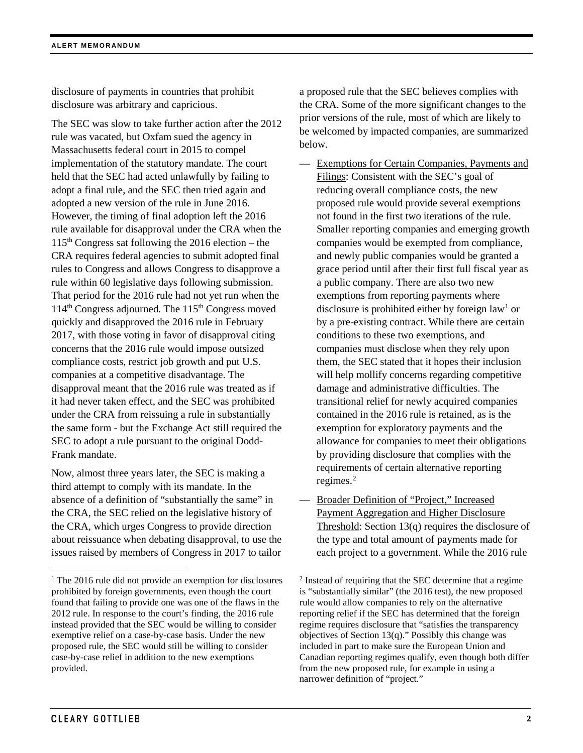disclosure of payments in countries that prohibit disclosure was arbitrary and capricious.

The SEC was slow to take further action after the 2012 rule was vacated, but Oxfam sued the agency in Massachusetts federal court in 2015 to compel implementation of the statutory mandate. The court held that the SEC had acted unlawfully by failing to adopt a final rule, and the SEC then tried again and adopted a new version of the rule in June 2016. However, the timing of final adoption left the 2016 rule available for disapproval under the CRA when the  $115<sup>th</sup> Congress$  sat following the 2016 election – the CRA requires federal agencies to submit adopted final rules to Congress and allows Congress to disapprove a rule within 60 legislative days following submission. That period for the 2016 rule had not yet run when the 114<sup>th</sup> Congress adjourned. The 115<sup>th</sup> Congress moved quickly and disapproved the 2016 rule in February 2017, with those voting in favor of disapproval citing concerns that the 2016 rule would impose outsized compliance costs, restrict job growth and put U.S. companies at a competitive disadvantage. The disapproval meant that the 2016 rule was treated as if it had never taken effect, and the SEC was prohibited under the CRA from reissuing a rule in substantially the same form - but the Exchange Act still required the SEC to adopt a rule pursuant to the original Dodd-Frank mandate.

Now, almost three years later, the SEC is making a third attempt to comply with its mandate. In the absence of a definition of "substantially the same" in the CRA, the SEC relied on the legislative history of the CRA, which urges Congress to provide direction about reissuance when debating disapproval, to use the issues raised by members of Congress in 2017 to tailor

a proposed rule that the SEC believes complies with the CRA. Some of the more significant changes to the prior versions of the rule, most of which are likely to be welcomed by impacted companies, are summarized below.

- Exemptions for Certain Companies, Payments and Filings: Consistent with the SEC's goal of reducing overall compliance costs, the new proposed rule would provide several exemptions not found in the first two iterations of the rule. Smaller reporting companies and emerging growth companies would be exempted from compliance, and newly public companies would be granted a grace period until after their first full fiscal year as a public company. There are also two new exemptions from reporting payments where disclosure is prohibited either by foreign law<sup>[1](#page-1-0)</sup> or by a pre-existing contract. While there are certain conditions to these two exemptions, and companies must disclose when they rely upon them, the SEC stated that it hopes their inclusion will help mollify concerns regarding competitive damage and administrative difficulties. The transitional relief for newly acquired companies contained in the 2016 rule is retained, as is the exemption for exploratory payments and the allowance for companies to meet their obligations by providing disclosure that complies with the requirements of certain alternative reporting regimes.[2](#page-1-0)
- Broader Definition of "Project," Increased Payment Aggregation and Higher Disclosure Threshold: Section 13(q) requires the disclosure of the type and total amount of payments made for each project to a government. While the 2016 rule

<span id="page-1-0"></span><sup>&</sup>lt;sup>1</sup> The 2016 rule did not provide an exemption for disclosures prohibited by foreign governments, even though the court found that failing to provide one was one of the flaws in the 2012 rule. In response to the court's finding, the 2016 rule instead provided that the SEC would be willing to consider exemptive relief on a case-by-case basis. Under the new proposed rule, the SEC would still be willing to consider case-by-case relief in addition to the new exemptions provided.

<sup>2</sup> Instead of requiring that the SEC determine that a regime is "substantially similar" (the 2016 test), the new proposed rule would allow companies to rely on the alternative reporting relief if the SEC has determined that the foreign regime requires disclosure that "satisfies the transparency objectives of Section  $13(q)$ ." Possibly this change was included in part to make sure the European Union and Canadian reporting regimes qualify, even though both differ from the new proposed rule, for example in using a narrower definition of "project."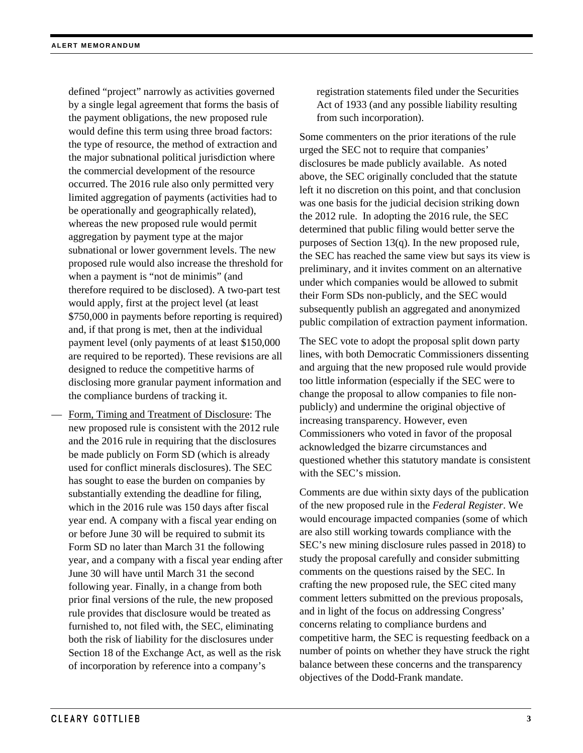defined "project" narrowly as activities governed by a single legal agreement that forms the basis of the payment obligations, the new proposed rule would define this term using three broad factors: the type of resource, the method of extraction and the major subnational political jurisdiction where the commercial development of the resource occurred. The 2016 rule also only permitted very limited aggregation of payments (activities had to be operationally and geographically related), whereas the new proposed rule would permit aggregation by payment type at the major subnational or lower government levels. The new proposed rule would also increase the threshold for when a payment is "not de minimis" (and therefore required to be disclosed). A two-part test would apply, first at the project level (at least \$750,000 in payments before reporting is required) and, if that prong is met, then at the individual payment level (only payments of at least \$150,000 are required to be reported). These revisions are all designed to reduce the competitive harms of disclosing more granular payment information and the compliance burdens of tracking it.

— Form, Timing and Treatment of Disclosure: The new proposed rule is consistent with the 2012 rule and the 2016 rule in requiring that the disclosures be made publicly on Form SD (which is already used for conflict minerals disclosures). The SEC has sought to ease the burden on companies by substantially extending the deadline for filing, which in the 2016 rule was 150 days after fiscal year end. A company with a fiscal year ending on or before June 30 will be required to submit its Form SD no later than March 31 the following year, and a company with a fiscal year ending after June 30 will have until March 31 the second following year. Finally, in a change from both prior final versions of the rule, the new proposed rule provides that disclosure would be treated as furnished to, not filed with, the SEC, eliminating both the risk of liability for the disclosures under Section 18 of the Exchange Act, as well as the risk of incorporation by reference into a company's

registration statements filed under the Securities Act of 1933 (and any possible liability resulting from such incorporation).

Some commenters on the prior iterations of the rule urged the SEC not to require that companies' disclosures be made publicly available. As noted above, the SEC originally concluded that the statute left it no discretion on this point, and that conclusion was one basis for the judicial decision striking down the 2012 rule. In adopting the 2016 rule, the SEC determined that public filing would better serve the purposes of Section 13(q). In the new proposed rule, the SEC has reached the same view but says its view is preliminary, and it invites comment on an alternative under which companies would be allowed to submit their Form SDs non-publicly, and the SEC would subsequently publish an aggregated and anonymized public compilation of extraction payment information.

The SEC vote to adopt the proposal split down party lines, with both Democratic Commissioners dissenting and arguing that the new proposed rule would provide too little information (especially if the SEC were to change the proposal to allow companies to file nonpublicly) and undermine the original objective of increasing transparency. However, even Commissioners who voted in favor of the proposal acknowledged the bizarre circumstances and questioned whether this statutory mandate is consistent with the SEC's mission.

Comments are due within sixty days of the publication of the new proposed rule in the *Federal Register*. We would encourage impacted companies (some of which are also still working towards compliance with the SEC's new mining disclosure rules passed in 2018) to study the proposal carefully and consider submitting comments on the questions raised by the SEC. In crafting the new proposed rule, the SEC cited many comment letters submitted on the previous proposals, and in light of the focus on addressing Congress' concerns relating to compliance burdens and competitive harm, the SEC is requesting feedback on a number of points on whether they have struck the right balance between these concerns and the transparency objectives of the Dodd-Frank mandate.